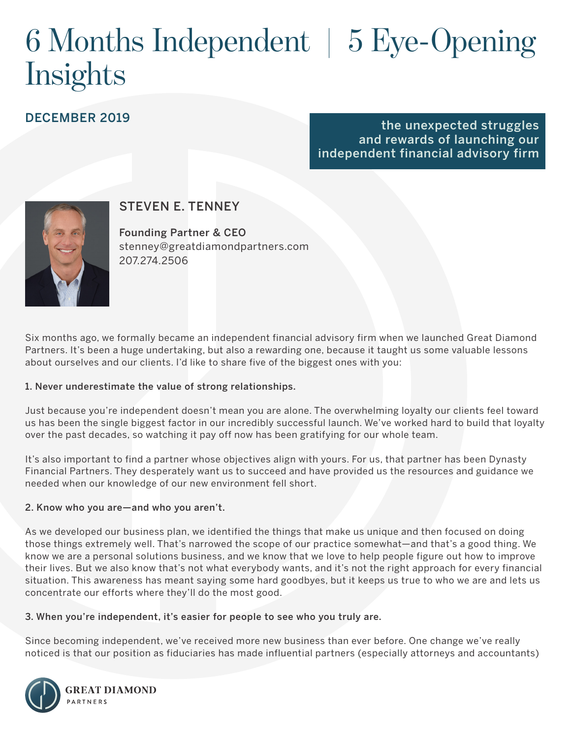# 6 Months Independent | 5 Eye-Opening **Insights**

## DECEMBER 2019

### the unexpected struggles and rewards of launching our independent financial advisory firm



## STEVEN E. TENNEY

Founding Partner & CEO stenney@greatdiamondpartners.com 207.274.2506

Six months ago, we formally became an independent financial advisory firm when we launched Great Diamond Partners. It's been a huge undertaking, but also a rewarding one, because it taught us some valuable lessons about ourselves and our clients. I'd like to share five of the biggest ones with you:

#### 1. Never underestimate the value of strong relationships.

Just because you're independent doesn't mean you are alone. The overwhelming loyalty our clients feel toward us has been the single biggest factor in our incredibly successful launch. We've worked hard to build that loyalty over the past decades, so watching it pay off now has been gratifying for our whole team.

It's also important to find a partner whose objectives align with yours. For us, that partner has been Dynasty Financial Partners. They desperately want us to succeed and have provided us the resources and guidance we needed when our knowledge of our new environment fell short.

#### 2. Know who you are—and who you aren't.

As we developed our business plan, we identified the things that make us unique and then focused on doing those things extremely well. That's narrowed the scope of our practice somewhat—and that's a good thing. We know we are a personal solutions business, and we know that we love to help people figure out how to improve their lives. But we also know that's not what everybody wants, and it's not the right approach for every financial situation. This awareness has meant saying some hard goodbyes, but it keeps us true to who we are and lets us concentrate our efforts where they'll do the most good.

#### 3. When you're independent, it's easier for people to see who you truly are.

Since becoming independent, we've received more new business than ever before. One change we've really noticed is that our position as fiduciaries has made influential partners (especially attorneys and accountants)